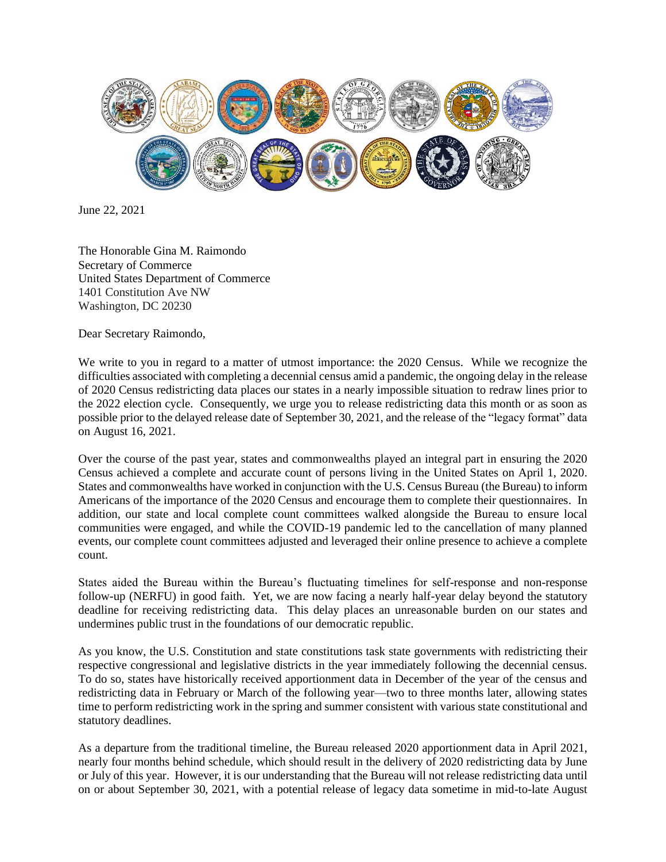

June 22, 2021

The Honorable Gina M. Raimondo Secretary of Commerce United States Department of Commerce 1401 Constitution Ave NW Washington, DC 20230

Dear Secretary Raimondo,

We write to you in regard to a matter of utmost importance: the 2020 Census. While we recognize the difficulties associated with completing a decennial census amid a pandemic, the ongoing delay in the release of 2020 Census redistricting data places our states in a nearly impossible situation to redraw lines prior to the 2022 election cycle. Consequently, we urge you to release redistricting data this month or as soon as possible prior to the delayed release date of September 30, 2021, and the release of the "legacy format" data on August 16, 2021.

Over the course of the past year, states and commonwealths played an integral part in ensuring the 2020 Census achieved a complete and accurate count of persons living in the United States on April 1, 2020. States and commonwealths have worked in conjunction with the U.S. Census Bureau (the Bureau) to inform Americans of the importance of the 2020 Census and encourage them to complete their questionnaires. In addition, our state and local complete count committees walked alongside the Bureau to ensure local communities were engaged, and while the COVID-19 pandemic led to the cancellation of many planned events, our complete count committees adjusted and leveraged their online presence to achieve a complete count.

States aided the Bureau within the Bureau's fluctuating timelines for self-response and non-response follow-up (NERFU) in good faith. Yet, we are now facing a nearly half-year delay beyond the statutory deadline for receiving redistricting data. This delay places an unreasonable burden on our states and undermines public trust in the foundations of our democratic republic.

As you know, the U.S. Constitution and state constitutions task state governments with redistricting their respective congressional and legislative districts in the year immediately following the decennial census. To do so, states have historically received apportionment data in December of the year of the census and redistricting data in February or March of the following year—two to three months later, allowing states time to perform redistricting work in the spring and summer consistent with various state constitutional and statutory deadlines.

As a departure from the traditional timeline, the Bureau released 2020 apportionment data in April 2021, nearly four months behind schedule, which should result in the delivery of 2020 redistricting data by June or July of this year. However, it is our understanding that the Bureau will not release redistricting data until on or about September 30, 2021, with a potential release of legacy data sometime in mid-to-late August